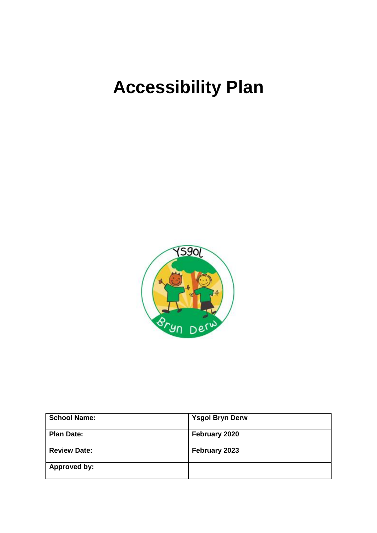# **Accessibility Plan**



| <b>School Name:</b> | <b>Ysgol Bryn Derw</b> |
|---------------------|------------------------|
| <b>Plan Date:</b>   | February 2020          |
| <b>Review Date:</b> | February 2023          |
| Approved by:        |                        |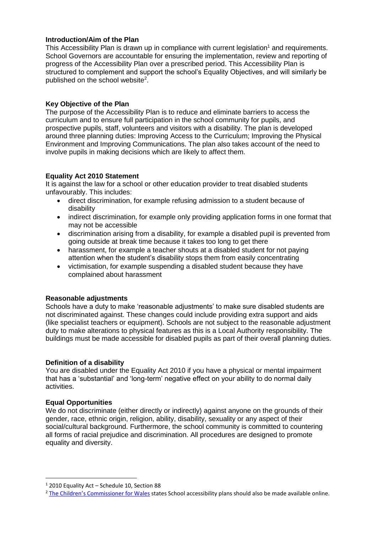#### **Introduction/Aim of the Plan**

This Accessibility Plan is drawn up in compliance with current legislation<sup>1</sup> and requirements. School Governors are accountable for ensuring the implementation, review and reporting of progress of the Accessibility Plan over a prescribed period. This Accessibility Plan is structured to complement and support the school's Equality Objectives, and will similarly be published on the school website<sup>2</sup>.

## **Key Objective of the Plan**

The purpose of the Accessibility Plan is to reduce and eliminate barriers to access the curriculum and to ensure full participation in the school community for pupils, and prospective pupils, staff, volunteers and visitors with a disability. The plan is developed around three planning duties: Improving Access to the Curriculum; Improving the Physical Environment and Improving Communications. The plan also takes account of the need to involve pupils in making decisions which are likely to affect them.

## **Equality Act 2010 Statement**

It is against the law for a school or other education provider to treat disabled students unfavourably. This includes:

- direct discrimination, for example refusing admission to a student because of disability
- indirect discrimination, for example only providing application forms in one format that may not be accessible
- discrimination arising from a disability, for example a disabled pupil is prevented from going outside at break time because it takes too long to get there
- harassment, for example a teacher shouts at a disabled student for not paying attention when the student's disability stops them from easily concentrating
- victimisation, for example suspending a disabled student because they have complained about harassment

## **Reasonable adjustments**

Schools have a duty to make 'reasonable adjustments' to make sure disabled students are not discriminated against. These changes could include providing extra support and aids (like specialist teachers or equipment). Schools are not subject to the reasonable adjustment duty to make alterations to physical features as this is a Local Authority responsibility. The buildings must be made accessible for disabled pupils as part of their overall planning duties.

#### **Definition of a disability**

You are disabled under the Equality Act 2010 if you have a physical or mental impairment that has a 'substantial' and 'long-term' negative effect on your ability to do normal daily activities.

#### **Equal Opportunities**

**.** 

We do not discriminate (either directly or indirectly) against anyone on the grounds of their gender, race, ethnic origin, religion, ability, disability, sexuality or any aspect of their social/cultural background. Furthermore, the school community is committed to countering all forms of racial prejudice and discrimination. All procedures are designed to promote equality and diversity.

<sup>1</sup> 2010 Equality Act – Schedule 10, Section 88

<sup>&</sup>lt;sup>2</sup> The Children'[s Commissioner for Wales](https://www.childcomwales.org.uk/wp-content/uploads/2018/03/Full-Lives-Equal-Access.pdf) states School accessibility plans should also be made available online.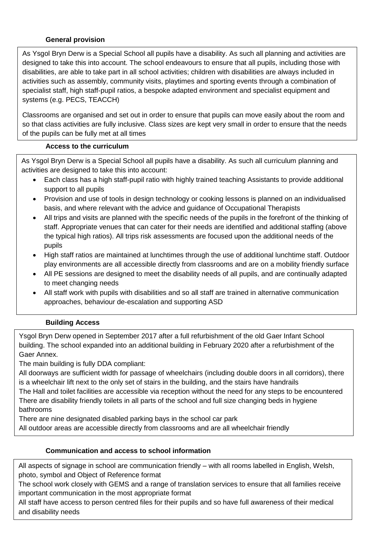# **General provision**

As Ysgol Bryn Derw is a Special School all pupils have a disability. As such all planning and activities are designed to take this into account. The school endeavours to ensure that all pupils, including those with disabilities, are able to take part in all school activities; children with disabilities are always included in activities such as assembly, community visits, playtimes and sporting events through a combination of specialist staff, high staff-pupil ratios, a bespoke adapted environment and specialist equipment and systems (e.g. PECS, TEACCH)

Classrooms are organised and set out in order to ensure that pupils can move easily about the room and so that class activities are fully inclusive. Class sizes are kept very small in order to ensure that the needs of the pupils can be fully met at all times

# **Access to the curriculum**

As Ysgol Bryn Derw is a Special School all pupils have a disability. As such all curriculum planning and activities are designed to take this into account:

- Each class has a high staff-pupil ratio with highly trained teaching Assistants to provide additional support to all pupils
- Provision and use of tools in design technology or cooking lessons is planned on an individualised basis, and where relevant with the advice and guidance of Occupational Therapists
- All trips and visits are planned with the specific needs of the pupils in the forefront of the thinking of staff. Appropriate venues that can cater for their needs are identified and additional staffing (above the typical high ratios). All trips risk assessments are focused upon the additional needs of the pupils
- High staff ratios are maintained at lunchtimes through the use of additional lunchtime staff. Outdoor play environments are all accessible directly from classrooms and are on a mobility friendly surface
- All PE sessions are designed to meet the disability needs of all pupils, and are continually adapted to meet changing needs
- All staff work with pupils with disabilities and so all staff are trained in alternative communication approaches, behaviour de-escalation and supporting ASD

# **Building Access**

Ysgol Bryn Derw opened in September 2017 after a full refurbishment of the old Gaer Infant School building. The school expanded into an additional building in February 2020 after a refurbishment of the Gaer Annex.

The main building is fully DDA compliant:

All doorways are sufficient width for passage of wheelchairs (including double doors in all corridors), there is a wheelchair lift next to the only set of stairs in the building, and the stairs have handrails

The Hall and toilet facilities are accessible via reception without the need for any steps to be encountered There are disability friendly toilets in all parts of the school and full size changing beds in hygiene bathrooms

There are nine designated disabled parking bays in the school car park

All outdoor areas are accessible directly from classrooms and are all wheelchair friendly

# **Communication and access to school information**

All aspects of signage in school are communication friendly – with all rooms labelled in English, Welsh, photo, symbol and Object of Reference format

The school work closely with GEMS and a range of translation services to ensure that all families receive important communication in the most appropriate format

All staff have access to person centred files for their pupils and so have full awareness of their medical and disability needs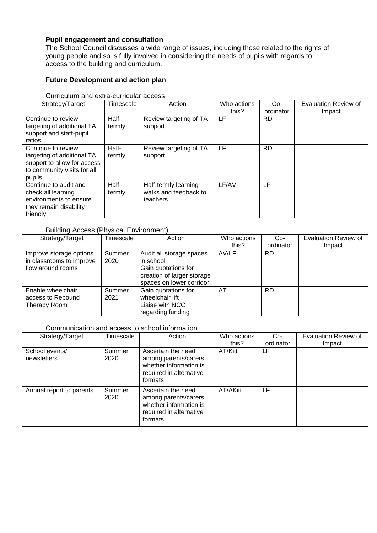# **Pupil engagement and consultation**

The School Council discusses a wide range of issues, including those related to the rights of young people and so is fully involved in considering the needs of pupils with regards to access to the building and curriculum.

# **Future Development and action plan**

| Strategy/Target                                                                                                          | Timescale       | Action                                                    | Who actions | $Co-$     | <b>Evaluation Review of</b> |
|--------------------------------------------------------------------------------------------------------------------------|-----------------|-----------------------------------------------------------|-------------|-----------|-----------------------------|
|                                                                                                                          |                 |                                                           | this?       | ordinator | Impact                      |
| Continue to review<br>targeting of additional TA<br>support and staff-pupil<br>ratios                                    | Half-<br>termly | Review targeting of TA<br>support                         | LF          | RD.       |                             |
| Continue to review<br>targeting of additional TA<br>support to allow for access<br>to community visits for all<br>pupils | Half-<br>termly | Review targeting of TA<br>support                         | LF          | <b>RD</b> |                             |
| Continue to audit and<br>check all learning<br>environments to ensure<br>they remain disability<br>friendly              | Half-<br>termly | Half-termly learning<br>walks and feedback to<br>teachers | LF/AV       | LF        |                             |

Curriculum and extra-curricular access

## Building Access (Physical Environment)

| Strategy/Target                                                          | Timescale      | Action                                                                                                                 | Who actions | $Co-$     | <b>Evaluation Review of</b> |
|--------------------------------------------------------------------------|----------------|------------------------------------------------------------------------------------------------------------------------|-------------|-----------|-----------------------------|
|                                                                          |                |                                                                                                                        | this?       | ordinator | Impact                      |
| Improve storage options<br>in classrooms to improve<br>flow around rooms | Summer<br>2020 | Audit all storage spaces<br>in school<br>Gain quotations for<br>creation of larger storage<br>spaces on lower corridor | AV/LF       | <b>RD</b> |                             |
| Enable wheelchair<br>access to Rebound<br>Therapy Room                   | Summer<br>2021 | Gain quotations for<br>wheelchair lift<br>Liaise with NCC<br>regarding funding                                         | AT          | <b>RD</b> |                             |

#### Communication and access to school information

| Strategy/Target               | <b>Timescale</b> | Action                                                                                                     | Who actions<br>this? | $Co-$<br>ordinator | Evaluation Review of<br>Impact |
|-------------------------------|------------------|------------------------------------------------------------------------------------------------------------|----------------------|--------------------|--------------------------------|
| School events/<br>newsletters | Summer<br>2020   | Ascertain the need<br>among parents/carers<br>whether information is<br>required in alternative<br>formats | AT/Kitt              | LF                 |                                |
| Annual report to parents      | Summer<br>2020   | Ascertain the need<br>among parents/carers<br>whether information is<br>required in alternative<br>formats | AT/AKitt             | LF                 |                                |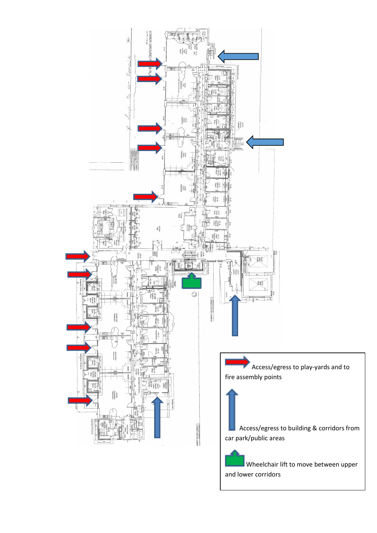